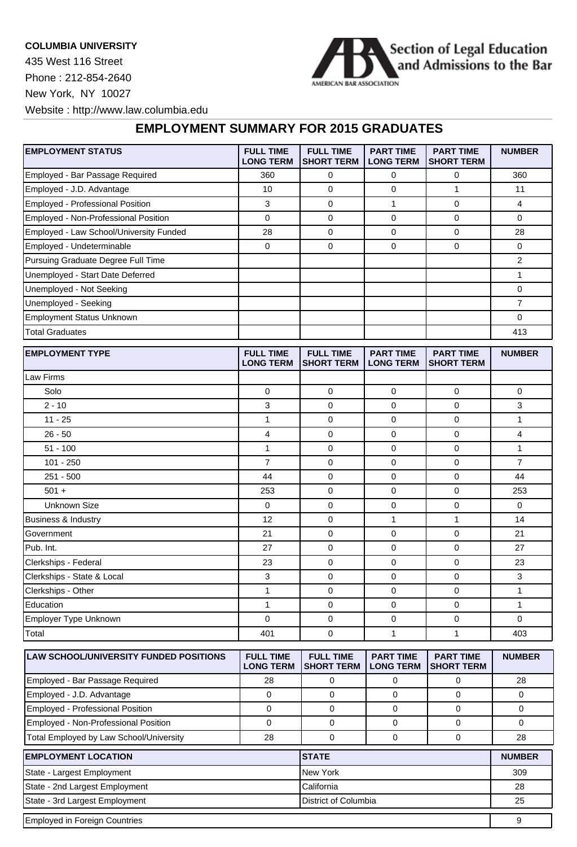## **COLUMBIA UNIVERSITY**

435 West 116 Street Phone : 212-854-2640 New York, NY 10027



Website : http://www.law.columbia.edu

## **EMPLOYMENT SUMMARY FOR 2015 GRADUATES**

| <b>EMPLOYMENT STATUS</b>                | <b>FULL TIME</b><br><b>LONG TERM</b> | <b>FULL TIME</b><br><b>SHORT TERM</b> | <b>PART TIME</b><br><b>LONG TERM</b> | <b>PART TIME</b><br><b>SHORT TERM</b> | <b>NUMBER</b>  |
|-----------------------------------------|--------------------------------------|---------------------------------------|--------------------------------------|---------------------------------------|----------------|
| Employed - Bar Passage Required         | 360                                  | 0                                     | 0                                    | 0                                     | 360            |
| Employed - J.D. Advantage               | 10                                   | $\mathbf 0$                           | 0                                    | $\mathbf{1}$                          | 11             |
| Employed - Professional Position        | 3                                    | $\mathbf 0$                           | $\mathbf{1}$                         | 0                                     | 4              |
| Employed - Non-Professional Position    | $\mathbf 0$                          | $\mathbf 0$                           | 0                                    | 0                                     | 0              |
| Employed - Law School/University Funded | 28                                   | 0                                     | 0                                    | 0                                     | 28             |
| Employed - Undeterminable               | 0                                    | $\mathbf 0$                           | 0                                    | $\mathbf 0$                           | 0              |
| Pursuing Graduate Degree Full Time      |                                      |                                       |                                      |                                       | 2              |
| Unemployed - Start Date Deferred        |                                      |                                       |                                      |                                       | 1              |
| Unemployed - Not Seeking                |                                      |                                       |                                      |                                       | 0              |
| Unemployed - Seeking                    |                                      |                                       |                                      |                                       | $\overline{7}$ |
| Employment Status Unknown               |                                      |                                       |                                      |                                       | 0              |
| <b>Total Graduates</b>                  |                                      |                                       |                                      |                                       | 413            |
| <b>EMPLOYMENT TYPE</b>                  | <b>FULL TIME</b><br><b>LONG TERM</b> | <b>FULL TIME</b><br><b>SHORT TERM</b> | <b>PART TIME</b><br><b>LONG TERM</b> | <b>PART TIME</b><br><b>SHORT TERM</b> | <b>NUMBER</b>  |
| Law Firms                               |                                      |                                       |                                      |                                       |                |
| Solo                                    | $\mathbf 0$                          | 0                                     | $\mathbf 0$                          | $\pmb{0}$                             | 0              |
| $2 - 10$                                | 3                                    | $\mathbf 0$                           | 0                                    | 0                                     | 3              |
| $11 - 25$                               | 1                                    | 0                                     | 0                                    | 0                                     | 1              |
| $26 - 50$                               | 4                                    | 0                                     | 0                                    | 0                                     | 4              |
| $51 - 100$                              | 1                                    | 0                                     | 0                                    | 0                                     | 1              |
| $101 - 250$                             | $\overline{7}$                       | 0                                     | 0                                    | 0                                     | 7              |
| $251 - 500$                             | 44                                   | 0                                     | 0                                    | 0                                     | 44             |
| $501 +$                                 | 253                                  | 0                                     | 0                                    | 0                                     | 253            |
| <b>Unknown Size</b>                     | 0                                    | $\mathbf 0$                           | 0                                    | 0                                     | 0              |
| <b>Business &amp; Industry</b>          | 12                                   | 0                                     | $\mathbf{1}$                         | 1                                     | 14             |
| Government                              | 21                                   | 0                                     | 0                                    | 0                                     | 21             |
| Pub. Int.                               | 27                                   | 0                                     | 0                                    | 0                                     | 27             |
| Clerkships - Federal                    | 23                                   | 0                                     | 0                                    | $\mathbf 0$                           | 23             |
| Clerkships - State & Local              | 3                                    | 0                                     | 0                                    | 0                                     | 3              |
| Clerkships - Other                      | 1                                    | 0                                     | 0                                    | 0                                     | 1              |
| Education                               | 1                                    | 0                                     | 0                                    | 0                                     | 1              |
| Employer Type Unknown                   | 0                                    | 0                                     | 0                                    | $\pmb{0}$                             | 0              |
| Total                                   | 401                                  | 0                                     | 1                                    | $\mathbf{1}$                          | 403            |
| LAW SCHOOL/UNIVERSITY FUNDED POSITIONS  | <b>FULL TIME</b><br><b>LONG TERM</b> | <b>FULL TIME</b><br><b>SHORT TERM</b> | <b>PART TIME</b><br><b>LONG TERM</b> | <b>PART TIME</b><br><b>SHORT TERM</b> | <b>NUMBER</b>  |
| Employed - Bar Passage Required         | 28                                   | $\mathbf 0$                           | $\mathbf 0$                          | $\mathbf 0$                           | 28             |
| Employed - J.D. Advantage               | $\mathbf 0$                          | 0                                     | 0                                    | 0                                     | 0              |
| Employed - Professional Position        | $\mathbf 0$                          | 0                                     | $\mathbf 0$                          | $\mathbf 0$                           | 0              |
| Employed - Non-Professional Position    | $\mathbf 0$                          | 0                                     | 0                                    | 0                                     | 0              |
| Total Employed by Law School/University | 28                                   | $\mathbf 0$                           | $\mathbf 0$                          | 0                                     | 28             |

| <b>EMPLOYMENT LOCATION</b>     | <b>ISTATE</b>        | <b>NUMBER</b> |  |  |
|--------------------------------|----------------------|---------------|--|--|
| State - Largest Employment     | New York             | 309           |  |  |
| State - 2nd Largest Employment | l California         | 28            |  |  |
| State - 3rd Largest Employment | District of Columbia | 25            |  |  |
| Employed in Foreign Countries  |                      | 9             |  |  |